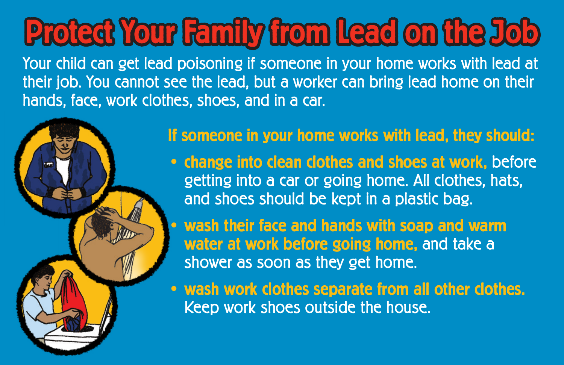## **Protect Your Family from Lead on the Job**

Your child can get lead poisoning if someone in your home works with lead at their job. You cannot see the lead, but a worker can bring lead home on their hands, face, work clothes, shoes, and in a car.



## **If someone in your home works with lead, they should:**

**• change into clean clothes and shoes at work,** before getting into a car or going home. All clothes, hats, and shoes should be kept in a plastic bag.

**• wash their face and hands with soap and warm water at work before going home,** and take a shower as soon as they get home.

**• wash work clothes separate from all other clothes.** Keep work shoes outside the house.